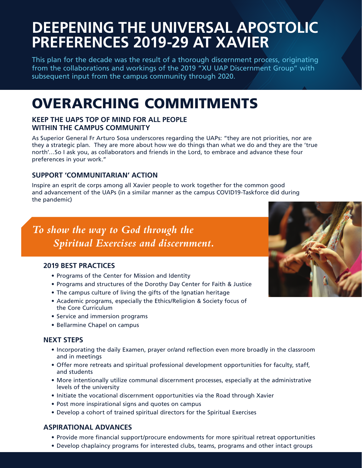# **DEEPENING THE UNIVERSAL APOSTOLIC PREFERENCES 2019-29 AT XAVIER**

This plan for the decade was the result of a thorough discernment process, originating from the collaborations and workings of the 2019 "XU UAP Discernment Group" with subsequent input from the campus community through 2020.

# OVERARCHING COMMITMENTS

#### **KEEP THE UAPS TOP OF MIND FOR ALL PEOPLE WITHIN THE CAMPUS COMMUNITY**

As Superior General Fr Arturo Sosa underscores regarding the UAPs: "they are not priorities, nor are they a strategic plan. They are more about how we do things than what we do and they are the 'true north'…So I ask you, as collaborators and friends in the Lord, to embrace and advance these four preferences in your work."

#### **SUPPORT 'COMMUNITARIAN' ACTION**

Inspire an esprit de corps among all Xavier people to work together for the common good and advancement of the UAPs (in a similar manner as the campus COVID19-Taskforce did during the pandemic)

## *To show the way to God through the Spiritual Exercises and discernment.*

#### **2019 BEST PRACTICES**

- Programs of the Center for Mission and Identity
- Programs and structures of the Dorothy Day Center for Faith & Justice
- The campus culture of living the gifts of the Ignatian heritage
- Academic programs, especially the Ethics/Religion & Society focus of the Core Curriculum
- Service and immersion programs
- Bellarmine Chapel on campus

#### **NEXT STEPS**

- Incorporating the daily Examen, prayer or/and reflection even more broadly in the classroom and in meetings
- Offer more retreats and spiritual professional development opportunities for faculty, staff, and students
- More intentionally utilize communal discernment processes, especially at the administrative levels of the university
- Initiate the vocational discernment opportunities via the Road through Xavier
- Post more inspirational signs and quotes on campus
- Develop a cohort of trained spiritual directors for the Spiritual Exercises

#### **ASPIRATIONAL ADVANCES**

- Provide more financial support/procure endowments for more spiritual retreat opportunities
- Develop chaplaincy programs for interested clubs, teams, programs and other intact groups

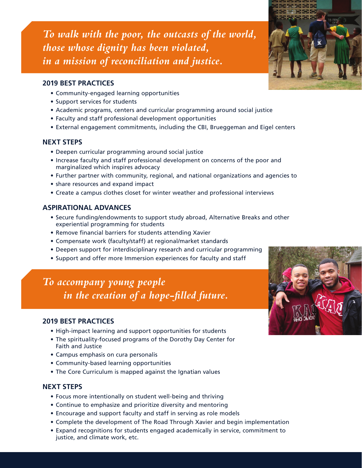*To walk with the poor, the outcasts of the world, those whose dignity has been violated, in a mission of reconciliation and justice.*

#### **2019 BEST PRACTICES**

- Community-engaged learning opportunities
- Support services for students
- Academic programs, centers and curricular programming around social justice
- Faculty and staff professional development opportunities
- External engagement commitments, including the CBI, Brueggeman and Eigel centers

#### **NEXT STEPS**

- Deepen curricular programming around social justice
- Increase faculty and staff professional development on concerns of the poor and marginalized which inspires advocacy
- Further partner with community, regional, and national organizations and agencies to
- share resources and expand impact
- Create a campus clothes closet for winter weather and professional interviews

#### **ASPIRATIONAL ADVANCES**

- Secure funding/endowments to support study abroad, Alternative Breaks and other experiential programming for students
- Remove financial barriers for students attending Xavier
- Compensate work (faculty/staff) at regional/market standards
- Deepen support for interdisciplinary research and curricular programming
- Support and offer more Immersion experiences for faculty and staff

### *To accompany young people in the creation of a hope-filled future.*

#### **2019 BEST PRACTICES**

- High-impact learning and support opportunities for students
- The spirituality-focused programs of the Dorothy Day Center for Faith and Justice
- Campus emphasis on cura personalis
- Community-based learning opportunities
- The Core Curriculum is mapped against the Ignatian values

#### **NEXT STEPS**

- Focus more intentionally on student well-being and thriving
- Continue to emphasize and prioritize diversity and mentoring
- Encourage and support faculty and staff in serving as role models
- Complete the development of The Road Through Xavier and begin implementation
- Expand recognitions for students engaged academically in service, commitment to justice, and climate work, etc.